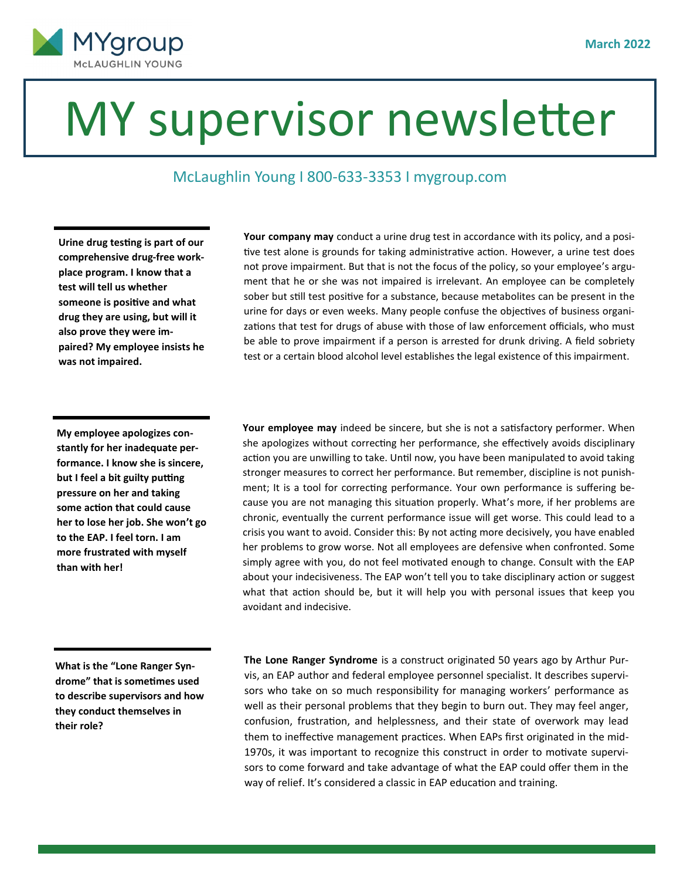

## MY supervisor newsletter

## McLaughlin Young I 800-633-3353 I mygroup.com

**Urine drug testing is part of our comprehensive drug-free workplace program. I know that a test will tell us whether someone is positive and what drug they are using, but will it also prove they were impaired? My employee insists he was not impaired.**

**Your company may** conduct a urine drug test in accordance with its policy, and a positive test alone is grounds for taking administrative action. However, a urine test does not prove impairment. But that is not the focus of the policy, so your employee's argument that he or she was not impaired is irrelevant. An employee can be completely sober but still test positive for a substance, because metabolites can be present in the urine for days or even weeks. Many people confuse the objectives of business organizations that test for drugs of abuse with those of law enforcement officials, who must be able to prove impairment if a person is arrested for drunk driving. A field sobriety test or a certain blood alcohol level establishes the legal existence of this impairment.

**My employee apologizes constantly for her inadequate performance. I know she is sincere, but I feel a bit guilty putting pressure on her and taking some action that could cause her to lose her job. She won't go to the EAP. I feel torn. I am more frustrated with myself than with her!** 

**Your employee may** indeed be sincere, but she is not a satisfactory performer. When she apologizes without correcting her performance, she effectively avoids disciplinary action you are unwilling to take. Until now, you have been manipulated to avoid taking stronger measures to correct her performance. But remember, discipline is not punishment; It is a tool for correcting performance. Your own performance is suffering because you are not managing this situation properly. What's more, if her problems are chronic, eventually the current performance issue will get worse. This could lead to a crisis you want to avoid. Consider this: By not acting more decisively, you have enabled her problems to grow worse. Not all employees are defensive when confronted. Some simply agree with you, do not feel motivated enough to change. Consult with the EAP about your indecisiveness. The EAP won't tell you to take disciplinary action or suggest what that action should be, but it will help you with personal issues that keep you avoidant and indecisive.

**What is the "Lone Ranger Syndrome" that is sometimes used to describe supervisors and how they conduct themselves in their role?** 

 **The Lone Ranger Syndrome** is a construct originated 50 years ago by Arthur Purvis, an EAP author and federal employee personnel specialist. It describes supervisors who take on so much responsibility for managing workers' performance as well as their personal problems that they begin to burn out. They may feel anger, confusion, frustration, and helplessness, and their state of overwork may lead them to ineffective management practices. When EAPs first originated in the mid-1970s, it was important to recognize this construct in order to motivate supervisors to come forward and take advantage of what the EAP could offer them in the way of relief. It's considered a classic in EAP education and training.